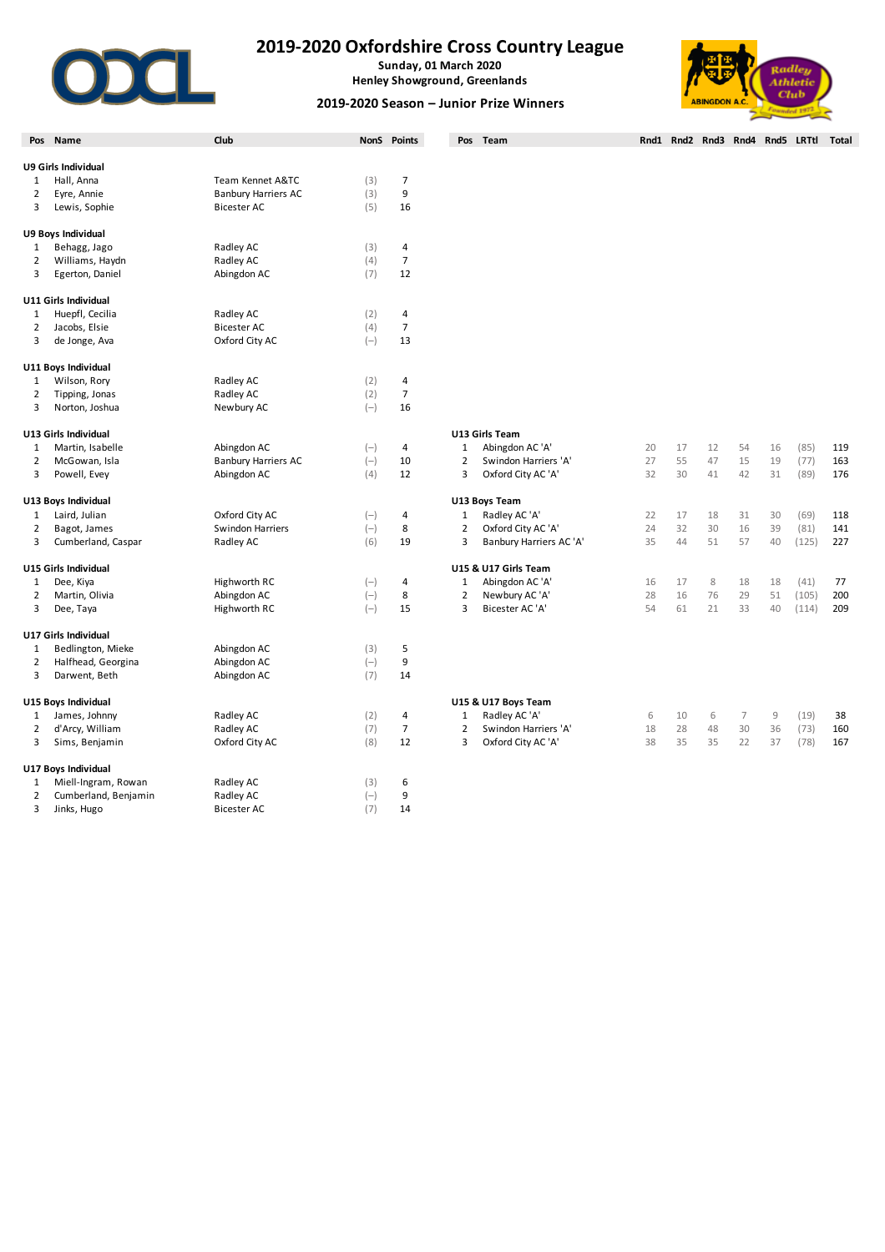

## **2019-2020 Oxfordshire Cross Country League**

**Sunday, 01 March 2020 Henley Showground, Greenlands**

## **2019-2020 Season – Junior Prize Winners**



|                | Pos Name             | Club                       |       | NonS Points    |                | Pos Team                |    |    |    |                |    | Rnd1 Rnd2 Rnd3 Rnd4 Rnd5 LRTtl Total |     |
|----------------|----------------------|----------------------------|-------|----------------|----------------|-------------------------|----|----|----|----------------|----|--------------------------------------|-----|
|                | U9 Girls Individual  |                            |       |                |                |                         |    |    |    |                |    |                                      |     |
| 1              | Hall, Anna           | Team Kennet A&TC           | (3)   | $\overline{7}$ |                |                         |    |    |    |                |    |                                      |     |
| $\overline{2}$ | Eyre, Annie          | <b>Banbury Harriers AC</b> | (3)   | 9              |                |                         |    |    |    |                |    |                                      |     |
| 3              | Lewis, Sophie        | <b>Bicester AC</b>         | (5)   | 16             |                |                         |    |    |    |                |    |                                      |     |
|                |                      |                            |       |                |                |                         |    |    |    |                |    |                                      |     |
|                | U9 Boys Individual   |                            |       |                |                |                         |    |    |    |                |    |                                      |     |
| 1              | Behagg, Jago         | Radley AC                  | (3)   | 4              |                |                         |    |    |    |                |    |                                      |     |
| $\overline{2}$ | Williams, Haydn      | Radley AC                  | (4)   | $\overline{7}$ |                |                         |    |    |    |                |    |                                      |     |
| 3              | Egerton, Daniel      | Abingdon AC                | (7)   | 12             |                |                         |    |    |    |                |    |                                      |     |
|                | U11 Girls Individual |                            |       |                |                |                         |    |    |    |                |    |                                      |     |
| 1              | Huepfl, Cecilia      | Radley AC                  | (2)   | 4              |                |                         |    |    |    |                |    |                                      |     |
| $\overline{2}$ | Jacobs, Elsie        | <b>Bicester AC</b>         | (4)   | $\overline{7}$ |                |                         |    |    |    |                |    |                                      |     |
| 3              | de Jonge, Ava        | Oxford City AC             | $(-)$ | 13             |                |                         |    |    |    |                |    |                                      |     |
|                | U11 Boys Individual  |                            |       |                |                |                         |    |    |    |                |    |                                      |     |
| 1              | Wilson, Rory         | Radley AC                  | (2)   | 4              |                |                         |    |    |    |                |    |                                      |     |
| $\overline{2}$ | Tipping, Jonas       | Radley AC                  | (2)   | $\overline{7}$ |                |                         |    |    |    |                |    |                                      |     |
| 3              | Norton, Joshua       | Newbury AC                 | $(-)$ | 16             |                |                         |    |    |    |                |    |                                      |     |
|                |                      |                            |       |                |                |                         |    |    |    |                |    |                                      |     |
|                | U13 Girls Individual |                            |       |                |                | U13 Girls Team          |    |    |    |                |    |                                      |     |
| 1              | Martin, Isabelle     | Abingdon AC                | $(-)$ | $\overline{4}$ | $\mathbf{1}$   | Abingdon AC 'A'         | 20 | 17 | 12 | 54             | 16 | (85)                                 | 119 |
| $\overline{2}$ | McGowan, Isla        | <b>Banbury Harriers AC</b> | $(-)$ | 10             | $\overline{2}$ | Swindon Harriers 'A'    | 27 | 55 | 47 | 15             | 19 | (77)                                 | 163 |
| 3              | Powell, Evey         | Abingdon AC                | (4)   | 12             | 3              | Oxford City AC 'A'      | 32 | 30 | 41 | 42             | 31 | (89)                                 | 176 |
|                | U13 Boys Individual  |                            |       |                |                | U13 Boys Team           |    |    |    |                |    |                                      |     |
| 1              | Laird, Julian        | Oxford City AC             | $(-)$ | $\overline{4}$ | $\mathbf{1}$   | Radley AC 'A'           | 22 | 17 | 18 | 31             | 30 | (69)                                 | 118 |
| $\overline{2}$ | Bagot, James         | <b>Swindon Harriers</b>    | $(-)$ | 8              | $\overline{2}$ | Oxford City AC 'A'      | 24 | 32 | 30 | 16             | 39 | (81)                                 | 141 |
| 3              | Cumberland, Caspar   | Radley AC                  | (6)   | 19             | 3              | Banbury Harriers AC 'A' | 35 | 44 | 51 | 57             | 40 | (125)                                | 227 |
|                | U15 Girls Individual |                            |       |                |                | U15 & U17 Girls Team    |    |    |    |                |    |                                      |     |
| $\mathbf{1}$   | Dee, Kiya            | Highworth RC               | $(-)$ | 4              | $1\,$          | Abingdon AC 'A'         | 16 | 17 | 8  | 18             | 18 | (41)                                 | 77  |
| $\overline{2}$ | Martin, Olivia       | Abingdon AC                | $(-)$ | 8              | $\overline{2}$ | Newbury AC 'A'          | 28 | 16 | 76 | 29             | 51 | (105)                                | 200 |
| 3              | Dee, Taya            | Highworth RC               | $(-)$ | 15             | 3              | Bicester AC 'A'         | 54 | 61 | 21 | 33             | 40 | (114)                                | 209 |
|                |                      |                            |       |                |                |                         |    |    |    |                |    |                                      |     |
|                | U17 Girls Individual |                            |       |                |                |                         |    |    |    |                |    |                                      |     |
| 1              | Bedlington, Mieke    | Abingdon AC                | (3)   | 5              |                |                         |    |    |    |                |    |                                      |     |
| 2              | Halfhead, Georgina   | Abingdon AC                | $(-)$ | 9              |                |                         |    |    |    |                |    |                                      |     |
| 3              | Darwent, Beth        | Abingdon AC                | (7)   | 14             |                |                         |    |    |    |                |    |                                      |     |
|                | U15 Boys Individual  |                            |       |                |                | U15 & U17 Boys Team     |    |    |    |                |    |                                      |     |
| 1              | James, Johnny        | Radley AC                  | (2)   | $\overline{4}$ | $\mathbf{1}$   | Radley AC 'A'           | 6  | 10 | 6  | $\overline{7}$ | 9  | (19)                                 | 38  |
| $\overline{2}$ | d'Arcy, William      | Radley AC                  | (7)   | $\overline{7}$ | $\overline{2}$ | Swindon Harriers 'A'    | 18 | 28 | 48 | 30             | 36 | (73)                                 | 160 |
| 3              | Sims, Benjamin       | Oxford City AC             | (8)   | 12             | 3              | Oxford City AC 'A'      | 38 | 35 | 35 | 22             | 37 | (78)                                 | 167 |
|                | U17 Boys Individual  |                            |       |                |                |                         |    |    |    |                |    |                                      |     |
| 1              | Miell-Ingram, Rowan  | Radley AC                  | (3)   | 6              |                |                         |    |    |    |                |    |                                      |     |
| $\overline{2}$ | Cumberland, Benjamin | Radley AC                  | $(-)$ | 9              |                |                         |    |    |    |                |    |                                      |     |
| 3              | Jinks, Hugo          | <b>Bicester AC</b>         | (7)   | 14             |                |                         |    |    |    |                |    |                                      |     |
|                |                      |                            |       |                |                |                         |    |    |    |                |    |                                      |     |